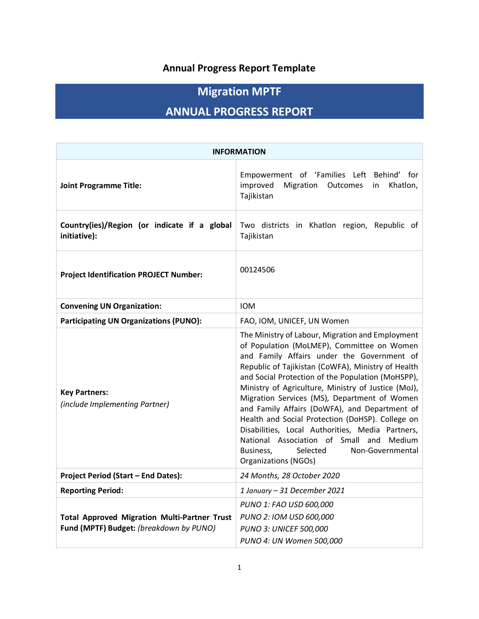## **Annual Progress Report Template**

# **Migration MPTF**

# **ANNUAL PROGRESS REPORT**

| <b>INFORMATION</b>                                                                             |                                                                                                                                                                                                                                                                                                                                                                                                                                                                                                                                                                                                                                                           |  |  |  |  |  |  |
|------------------------------------------------------------------------------------------------|-----------------------------------------------------------------------------------------------------------------------------------------------------------------------------------------------------------------------------------------------------------------------------------------------------------------------------------------------------------------------------------------------------------------------------------------------------------------------------------------------------------------------------------------------------------------------------------------------------------------------------------------------------------|--|--|--|--|--|--|
| <b>Joint Programme Title:</b>                                                                  | Empowerment of 'Families Left Behind' for<br>improved<br>Migration<br>Outcomes<br>Khatlon,<br>in<br>Tajikistan                                                                                                                                                                                                                                                                                                                                                                                                                                                                                                                                            |  |  |  |  |  |  |
| Country(ies)/Region (or indicate if a global<br>initiative):                                   | Two districts in Khatlon region, Republic of<br>Tajikistan                                                                                                                                                                                                                                                                                                                                                                                                                                                                                                                                                                                                |  |  |  |  |  |  |
| <b>Project Identification PROJECT Number:</b>                                                  | 00124506                                                                                                                                                                                                                                                                                                                                                                                                                                                                                                                                                                                                                                                  |  |  |  |  |  |  |
| <b>Convening UN Organization:</b>                                                              | <b>IOM</b>                                                                                                                                                                                                                                                                                                                                                                                                                                                                                                                                                                                                                                                |  |  |  |  |  |  |
| <b>Participating UN Organizations (PUNO):</b>                                                  | FAO, IOM, UNICEF, UN Women                                                                                                                                                                                                                                                                                                                                                                                                                                                                                                                                                                                                                                |  |  |  |  |  |  |
| <b>Key Partners:</b><br>(include Implementing Partner)                                         | The Ministry of Labour, Migration and Employment<br>of Population (MoLMEP), Committee on Women<br>and Family Affairs under the Government of<br>Republic of Tajikistan (CoWFA), Ministry of Health<br>and Social Protection of the Population (MoHSPP),<br>Ministry of Agriculture, Ministry of Justice (MoJ),<br>Migration Services (MS), Department of Women<br>and Family Affairs (DoWFA), and Department of<br>Health and Social Protection (DoHSP). College on<br>Disabilities, Local Authorities, Media Partners,<br>National Association of Small and<br><b>Medium</b><br>Non-Governmental<br>Business,<br>Selected<br><b>Organizations (NGOs)</b> |  |  |  |  |  |  |
| <b>Project Period (Start - End Dates):</b>                                                     | 24 Months, 28 October 2020                                                                                                                                                                                                                                                                                                                                                                                                                                                                                                                                                                                                                                |  |  |  |  |  |  |
| <b>Reporting Period:</b>                                                                       | 1 January - 31 December 2021                                                                                                                                                                                                                                                                                                                                                                                                                                                                                                                                                                                                                              |  |  |  |  |  |  |
| <b>Total Approved Migration Multi-Partner Trust</b><br>Fund (MPTF) Budget: (breakdown by PUNO) | PUNO 1: FAO USD 600,000<br>PUNO 2: IOM USD 600,000<br><b>PUNO 3: UNICEF 500,000</b><br>PUNO 4: UN Women 500,000                                                                                                                                                                                                                                                                                                                                                                                                                                                                                                                                           |  |  |  |  |  |  |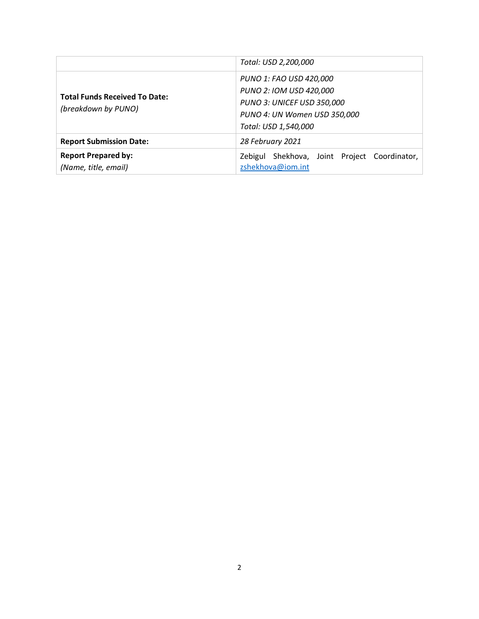|                                                             | Total: USD 2,200,000                                                                      |  |  |  |  |
|-------------------------------------------------------------|-------------------------------------------------------------------------------------------|--|--|--|--|
|                                                             | PUNO 1: FAO USD 420,000<br>PUNO 2: IOM USD 420,000                                        |  |  |  |  |
| <b>Total Funds Received To Date:</b><br>(breakdown by PUNO) | <b>PUNO 3: UNICEF USD 350,000</b><br>PUNO 4: UN Women USD 350,000<br>Total: USD 1,540,000 |  |  |  |  |
| <b>Report Submission Date:</b>                              | 28 February 2021                                                                          |  |  |  |  |
| <b>Report Prepared by:</b><br>(Name, title, email)          | Shekhova, Joint Project Coordinator,<br>Zebigul<br>zshekhova@iom.int                      |  |  |  |  |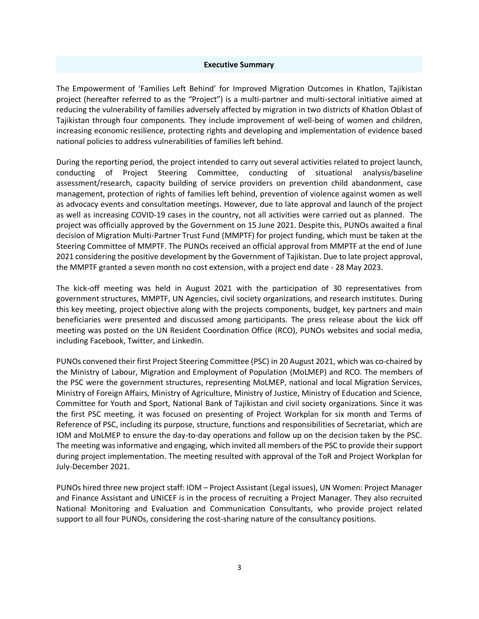#### **Executive Summary**

The Empowerment of 'Families Left Behind' for Improved Migration Outcomes in Khatlon, Tajikistan project (hereafter referred to as the "Project") is a multi-partner and multi-sectoral initiative aimed at reducing the vulnerability of families adversely affected by migration in two districts of Khatlon Oblast of Tajikistan through four components. They include improvement of well-being of women and children, increasing economic resilience, protecting rights and developing and implementation of evidence based national policies to address vulnerabilities of families left behind.

During the reporting period, the project intended to carry out several activities related to project launch, conducting of Project Steering Committee, conducting of situational analysis/baseline assessment/research, capacity building of service providers on prevention child abandonment, case management, protection of rights of families left behind, prevention of violence against women as well as advocacy events and consultation meetings. However, due to late approval and launch of the project as well as increasing COVID-19 cases in the country, not all activities were carried out as planned. The project was officially approved by the Government on 15 June 2021. Despite this, PUNOs awaited a final decision of Migration Multi-Partner Trust Fund (MMPTF) for project funding, which must be taken at the Steering Committee of MMPTF. The PUNOs received an official approval from MMPTF at the end of June 2021 considering the positive development by the Government of Tajikistan. Due to late project approval, the MMPTF granted a seven month no cost extension, with a project end date - 28 May 2023.

The kick-off meeting was held in August 2021 with the participation of 30 representatives from government structures, MMPTF, UN Agencies, civil society organizations, and research institutes. During this key meeting, project objective along with the projects components, budget, key partners and main beneficiaries were presented and discussed among participants. The press release about the kick off meeting was posted on the UN Resident Coordination Office (RCO), PUNOs websites and social media, including Facebook, Twitter, and LinkedIn.

PUNOs convened their first Project Steering Committee (PSC) in 20 August 2021, which was co-chaired by the Ministry of Labour, Migration and Employment of Population (MoLMEP) and RCO. The members of the PSC were the government structures, representing MoLMEP, national and local Migration Services, Ministry of Foreign Affairs, Ministry of Agriculture, Ministry of Justice, Ministry of Education and Science, Committee for Youth and Sport, National Bank of Tajikistan and civil society organizations. Since it was the first PSC meeting, it was focused on presenting of Project Workplan for six month and Terms of Reference of PSC, including its purpose, structure, functions and responsibilities of Secretariat, which are IOM and MoLMEP to ensure the day-to-day operations and follow up on the decision taken by the PSC. The meeting was informative and engaging, which invited all members of the PSC to provide their support during project implementation. The meeting resulted with approval of the ToR and Project Workplan for July-December 2021.

PUNOs hired three new project staff: IOM – Project Assistant (Legal issues), UN Women: Project Manager and Finance Assistant and UNICEF is in the process of recruiting a Project Manager. They also recruited National Monitoring and Evaluation and Communication Consultants, who provide project related support to all four PUNOs, considering the cost-sharing nature of the consultancy positions.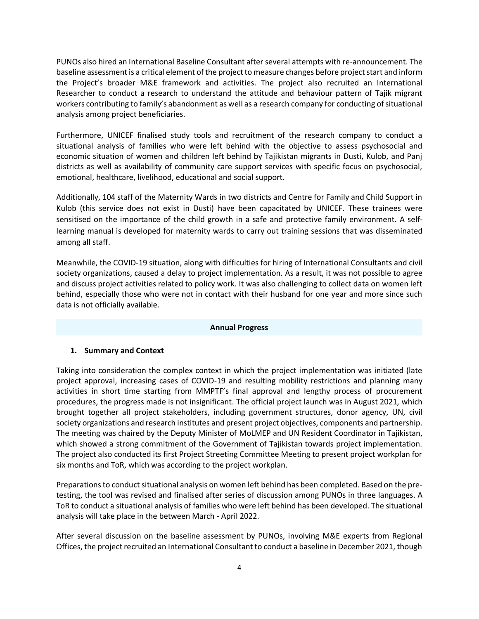PUNOs also hired an International Baseline Consultant after several attempts with re-announcement. The baseline assessment is a critical element of the project to measure changes before project start and inform the Project's broader M&E framework and activities. The project also recruited an International Researcher to conduct a research to understand the attitude and behaviour pattern of Tajik migrant workers contributing to family's abandonment as well as a research company for conducting of situational analysis among project beneficiaries.

Furthermore, UNICEF finalised study tools and recruitment of the research company to conduct a situational analysis of families who were left behind with the objective to assess psychosocial and economic situation of women and children left behind by Tajikistan migrants in Dusti, Kulob, and Panj districts as well as availability of community care support services with specific focus on psychosocial, emotional, healthcare, livelihood, educational and social support.

Additionally, 104 staff of the Maternity Wards in two districts and Centre for Family and Child Support in Kulob (this service does not exist in Dusti) have been capacitated by UNICEF. These trainees were sensitised on the importance of the child growth in a safe and protective family environment. A selflearning manual is developed for maternity wards to carry out training sessions that was disseminated among all staff.

Meanwhile, the COVID-19 situation, along with difficulties for hiring of International Consultants and civil society organizations, caused a delay to project implementation. As a result, it was not possible to agree and discuss project activities related to policy work. It was also challenging to collect data on women left behind, especially those who were not in contact with their husband for one year and more since such data is not officially available.

## **Annual Progress**

## **1. Summary and Context**

Taking into consideration the complex context in which the project implementation was initiated (late project approval, increasing cases of COVID-19 and resulting mobility restrictions and planning many activities in short time starting from MMPTF's final approval and lengthy process of procurement procedures, the progress made is not insignificant. The official project launch was in August 2021, which brought together all project stakeholders, including government structures, donor agency, UN, civil society organizations and research institutes and present project objectives, components and partnership. The meeting was chaired by the Deputy Minister of MoLMEP and UN Resident Coordinator in Tajikistan, which showed a strong commitment of the Government of Tajikistan towards project implementation. The project also conducted its first Project Streeting Committee Meeting to present project workplan for six months and ToR, which was according to the project workplan.

Preparations to conduct situational analysis on women left behind has been completed. Based on the pretesting, the tool was revised and finalised after series of discussion among PUNOs in three languages. A ToR to conduct a situational analysis of families who were left behind has been developed. The situational analysis will take place in the between March - April 2022.

After several discussion on the baseline assessment by PUNOs, involving M&E experts from Regional Offices, the project recruited an International Consultant to conduct a baseline in December 2021, though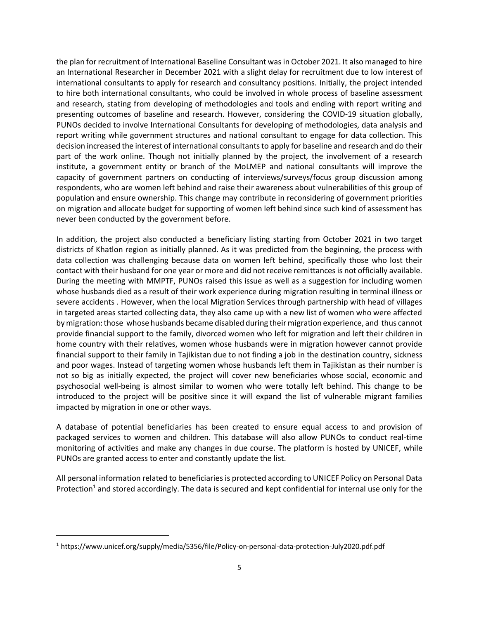the plan for recruitment of International Baseline Consultant was in October 2021. It also managed to hire an International Researcher in December 2021 with a slight delay for recruitment due to low interest of international consultants to apply for research and consultancy positions. Initially, the project intended to hire both international consultants, who could be involved in whole process of baseline assessment and research, stating from developing of methodologies and tools and ending with report writing and presenting outcomes of baseline and research. However, considering the COVID-19 situation globally, PUNOs decided to involve International Consultants for developing of methodologies, data analysis and report writing while government structures and national consultant to engage for data collection. This decision increased the interest of international consultants to apply for baseline and research and do their part of the work online. Though not initially planned by the project, the involvement of a research institute, a government entity or branch of the MoLMEP and national consultants will improve the capacity of government partners on conducting of interviews/surveys/focus group discussion among respondents, who are women left behind and raise their awareness about vulnerabilities of this group of population and ensure ownership. This change may contribute in reconsidering of government priorities on migration and allocate budget for supporting of women left behind since such kind of assessment has never been conducted by the government before.

In addition, the project also conducted a beneficiary listing starting from October 2021 in two target districts of Khatlon region as initially planned. As it was predicted from the beginning, the process with data collection was challenging because data on women left behind, specifically those who lost their contact with their husband for one year or more and did not receive remittances is not officially available. During the meeting with MMPTF, PUNOs raised this issue as well as a suggestion for including women whose husbands died as a result of their work experience during migration resulting in terminal illness or severe accidents . However, when the local Migration Services through partnership with head of villages in targeted areas started collecting data, they also came up with a new list of women who were affected by migration: those whose husbands became disabled during their migration experience, and thus cannot provide financial support to the family, divorced women who left for migration and left their children in home country with their relatives, women whose husbands were in migration however cannot provide financial support to their family in Tajikistan due to not finding a job in the destination country, sickness and poor wages. Instead of targeting women whose husbands left them in Tajikistan as their number is not so big as initially expected, the project will cover new beneficiaries whose social, economic and psychosocial well-being is almost similar to women who were totally left behind. This change to be introduced to the project will be positive since it will expand the list of vulnerable migrant families impacted by migration in one or other ways.

A database of potential beneficiaries has been created to ensure equal access to and provision of packaged services to women and children. This database will also allow PUNOs to conduct real-time monitoring of activities and make any changes in due course. The platform is hosted by UNICEF, while PUNOs are granted access to enter and constantly update the list.

All personal information related to beneficiaries is protected according to UNICEF Policy on Personal Data Protection<sup>1</sup> and stored accordingly. The data is secured and kept confidential for internal use only for the

<sup>1</sup> https://www.unicef.org/supply/media/5356/file/Policy-on-personal-data-protection-July2020.pdf.pdf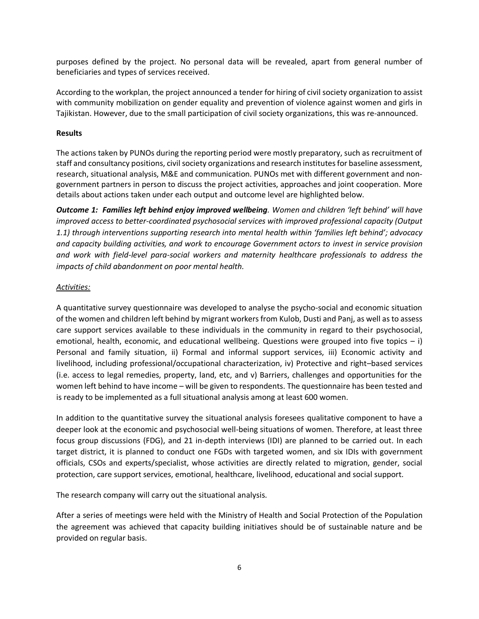purposes defined by the project. No personal data will be revealed, apart from general number of beneficiaries and types of services received.

According to the workplan, the project announced a tender for hiring of civil society organization to assist with community mobilization on gender equality and prevention of violence against women and girls in Tajikistan. However, due to the small participation of civil society organizations, this was re-announced.

## **Results**

The actions taken by PUNOs during the reporting period were mostly preparatory, such as recruitment of staff and consultancy positions, civil society organizations and research institutes for baseline assessment, research, situational analysis, M&E and communication. PUNOs met with different government and nongovernment partners in person to discuss the project activities, approaches and joint cooperation. More details about actions taken under each output and outcome level are highlighted below.

*Outcome 1: Families left behind enjoy improved wellbeing. Women and children 'left behind' will have improved access to better-coordinated psychosocial services with improved professional capacity (Output 1.1) through interventions supporting research into mental health within 'families left behind'; advocacy and capacity building activities, and work to encourage Government actors to invest in service provision and work with field-level para-social workers and maternity healthcare professionals to address the impacts of child abandonment on poor mental health.*

#### *Activities:*

A quantitative survey questionnaire was developed to analyse the psycho-social and economic situation of the women and children left behind by migrant workers from Kulob, Dusti and Panj, as well as to assess care support services available to these individuals in the community in regard to their psychosocial, emotional, health, economic, and educational wellbeing. Questions were grouped into five topics – i) Personal and family situation, ii) Formal and informal support services, iii) Economic activity and livelihood, including professional/occupational characterization, iv) Protective and right–based services (i.e. access to legal remedies, property, land, etc, and v) Barriers, challenges and opportunities for the women left behind to have income – will be given to respondents. The questionnaire has been tested and is ready to be implemented as a full situational analysis among at least 600 women.

In addition to the quantitative survey the situational analysis foresees qualitative component to have a deeper look at the economic and psychosocial well-being situations of women. Therefore, at least three focus group discussions (FDG), and 21 in-depth interviews (IDI) are planned to be carried out. In each target district, it is planned to conduct one FGDs with targeted women, and six IDIs with government officials, CSOs and experts/specialist, whose activities are directly related to migration, gender, social protection, care support services, emotional, healthcare, livelihood, educational and social support.

The research company will carry out the situational analysis.

After a series of meetings were held with the Ministry of Health and Social Protection of the Population the agreement was achieved that capacity building initiatives should be of sustainable nature and be provided on regular basis.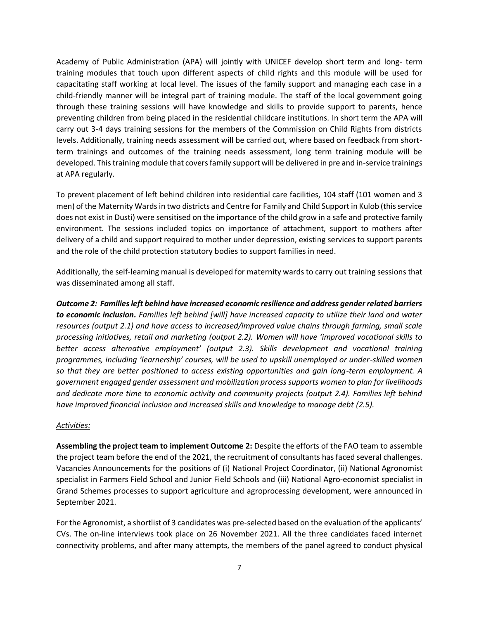Academy of Public Administration (APA) will jointly with UNICEF develop short term and long- term training modules that touch upon different aspects of child rights and this module will be used for capacitating staff working at local level. The issues of the family support and managing each case in a child-friendly manner will be integral part of training module. The staff of the local government going through these training sessions will have knowledge and skills to provide support to parents, hence preventing children from being placed in the residential childcare institutions. In short term the APA will carry out 3-4 days training sessions for the members of the Commission on Child Rights from districts levels. Additionally, training needs assessment will be carried out, where based on feedback from shortterm trainings and outcomes of the training needs assessment, long term training module will be developed. This training module that covers family support will be delivered in pre and in-service trainings at APA regularly.

To prevent placement of left behind children into residential care facilities, 104 staff (101 women and 3 men) of the Maternity Wards in two districts and Centre for Family and Child Support in Kulob (this service does not exist in Dusti) were sensitised on the importance of the child grow in a safe and protective family environment. The sessions included topics on importance of attachment, support to mothers after delivery of a child and support required to mother under depression, existing services to support parents and the role of the child protection statutory bodies to support families in need.

Additionally, the self-learning manual is developed for maternity wards to carry out training sessions that was disseminated among all staff.

*Outcome 2: Families left behind have increased economic resilience and address gender related barriers to economic inclusion. Families left behind [will] have increased capacity to utilize their land and water resources (output 2.1) and have access to increased/improved value chains through farming, small scale processing initiatives, retail and marketing (output 2.2). Women will have 'improved vocational skills to better access alternative employment' (output 2.3). Skills development and vocational training programmes, including 'learnership' courses, will be used to upskill unemployed or under-skilled women so that they are better positioned to access existing opportunities and gain long-term employment. A government engaged gender assessment and mobilization process supports women to plan for livelihoods and dedicate more time to economic activity and community projects (output 2.4). Families left behind have improved financial inclusion and increased skills and knowledge to manage debt (2.5).*

#### *Activities:*

**Assembling the project team to implement Outcome 2:** Despite the efforts of the FAO team to assemble the project team before the end of the 2021, the recruitment of consultants has faced several challenges. Vacancies Announcements for the positions of (i) National Project Coordinator, (ii) National Agronomist specialist in Farmers Field School and Junior Field Schools and (iii) National Agro-economist specialist in Grand Schemes processes to support agriculture and agroprocessing development, were announced in September 2021.

For the Agronomist, a shortlist of 3 candidates was pre-selected based on the evaluation of the applicants' CVs. The on-line interviews took place on 26 November 2021. All the three candidates faced internet connectivity problems, and after many attempts, the members of the panel agreed to conduct physical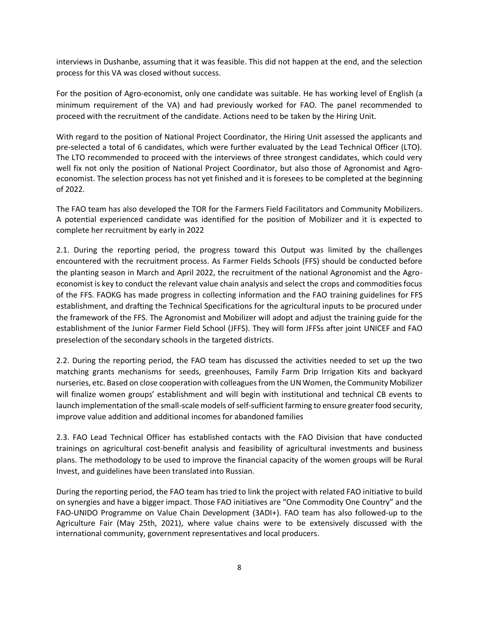interviews in Dushanbe, assuming that it was feasible. This did not happen at the end, and the selection process for this VA was closed without success.

For the position of Agro-economist, only one candidate was suitable. He has working level of English (a minimum requirement of the VA) and had previously worked for FAO. The panel recommended to proceed with the recruitment of the candidate. Actions need to be taken by the Hiring Unit.

With regard to the position of National Project Coordinator, the Hiring Unit assessed the applicants and pre-selected a total of 6 candidates, which were further evaluated by the Lead Technical Officer (LTO). The LTO recommended to proceed with the interviews of three strongest candidates, which could very well fix not only the position of National Project Coordinator, but also those of Agronomist and Agroeconomist. The selection process has not yet finished and it is foresees to be completed at the beginning of 2022.

The FAO team has also developed the TOR for the Farmers Field Facilitators and Community Mobilizers. A potential experienced candidate was identified for the position of Mobilizer and it is expected to complete her recruitment by early in 2022

2.1. During the reporting period, the progress toward this Output was limited by the challenges encountered with the recruitment process. As Farmer Fields Schools (FFS) should be conducted before the planting season in March and April 2022, the recruitment of the national Agronomist and the Agroeconomist is key to conduct the relevant value chain analysis and select the crops and commodities focus of the FFS. FAOKG has made progress in collecting information and the FAO training guidelines for FFS establishment, and drafting the Technical Specifications for the agricultural inputs to be procured under the framework of the FFS. The Agronomist and Mobilizer will adopt and adjust the training guide for the establishment of the Junior Farmer Field School (JFFS). They will form JFFSs after joint UNICEF and FAO preselection of the secondary schools in the targeted districts.

2.2. During the reporting period, the FAO team has discussed the activities needed to set up the two matching grants mechanisms for seeds, greenhouses, Family Farm Drip Irrigation Kits and backyard nurseries, etc. Based on close cooperation with colleagues from the UN Women, the Community Mobilizer will finalize women groups' establishment and will begin with institutional and technical CB events to launch implementation of the small-scale models of self-sufficient farming to ensure greater food security, improve value addition and additional incomes for abandoned families

2.3. FAO Lead Technical Officer has established contacts with the FAO Division that have conducted trainings on agricultural cost-benefit analysis and feasibility of agricultural investments and business plans. The methodology to be used to improve the financial capacity of the women groups will be Rural Invest, and guidelines have been translated into Russian.

During the reporting period, the FAO team has tried to link the project with related FAO initiative to build on synergies and have a bigger impact. Those FAO initiatives are "One Commodity One Country" and the FAO-UNIDO Programme on Value Chain Development (3ADI+). FAO team has also followed-up to the Agriculture Fair (May 25th, 2021), where value chains were to be extensively discussed with the international community, government representatives and local producers.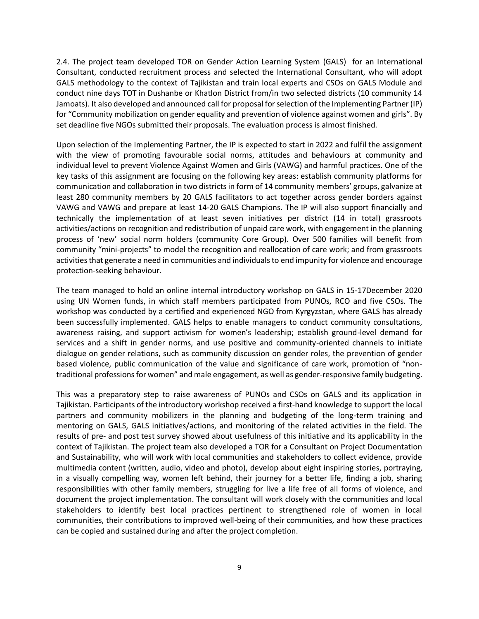2.4. The project team developed TOR on Gender Action Learning System (GALS) for an International Consultant, conducted recruitment process and selected the International Consultant, who will adopt GALS methodology to the context of Tajikistan and train local experts and CSOs on GALS Module and conduct nine days TOT in Dushanbe or Khatlon District from/in two selected districts (10 community 14 Jamoats). It also developed and announced call for proposal for selection of the Implementing Partner (IP) for "Community mobilization on gender equality and prevention of violence against women and girls". By set deadline five NGOs submitted their proposals. The evaluation process is almost finished.

Upon selection of the Implementing Partner, the IP is expected to start in 2022 and fulfil the assignment with the view of promoting favourable social norms, attitudes and behaviours at community and individual level to prevent Violence Against Women and Girls (VAWG) and harmful practices. One of the key tasks of this assignment are focusing on the following key areas: establish community platforms for communication and collaboration in two districts in form of 14 community members' groups, galvanize at least 280 community members by 20 GALS facilitators to act together across gender borders against VAWG and VAWG and prepare at least 14-20 GALS Champions. The IP will also support financially and technically the implementation of at least seven initiatives per district (14 in total) grassroots activities/actions on recognition and redistribution of unpaid care work, with engagement in the planning process of 'new' social norm holders (community Core Group). Over 500 families will benefit from community "mini-projects" to model the recognition and reallocation of care work; and from grassroots activities that generate a need in communities and individuals to end impunity for violence and encourage protection-seeking behaviour.

The team managed to hold an online internal introductory workshop on GALS in 15-17December 2020 using UN Women funds, in which staff members participated from PUNOs, RCO and five CSOs. The workshop was conducted by a certified and experienced NGO from Kyrgyzstan, where GALS has already been successfully implemented. GALS helps to enable managers to conduct community consultations, awareness raising, and support activism for women's leadership; establish ground-level demand for services and a shift in gender norms, and use positive and community-oriented channels to initiate dialogue on gender relations, such as community discussion on gender roles, the prevention of gender based violence, public communication of the value and significance of care work, promotion of "nontraditional professions for women" and male engagement, as well as gender-responsive family budgeting.

This was a preparatory step to raise awareness of PUNOs and CSOs on GALS and its application in Tajikistan. Participants of the introductory workshop received a first-hand knowledge to support the local partners and community mobilizers in the planning and budgeting of the long-term training and mentoring on GALS, GALS initiatives/actions, and monitoring of the related activities in the field. The results of pre- and post test survey showed about usefulness of this initiative and its applicability in the context of Tajikistan. The project team also developed a TOR for a Consultant on Project Documentation and Sustainability, who will work with local communities and stakeholders to collect evidence, provide multimedia content (written, audio, video and photo), develop about eight inspiring stories, portraying, in a visually compelling way, women left behind, their journey for a better life, finding a job, sharing responsibilities with other family members, struggling for live a life free of all forms of violence, and document the project implementation. The consultant will work closely with the communities and local stakeholders to identify best local practices pertinent to strengthened role of women in local communities, their contributions to improved well-being of their communities, and how these practices can be copied and sustained during and after the project completion.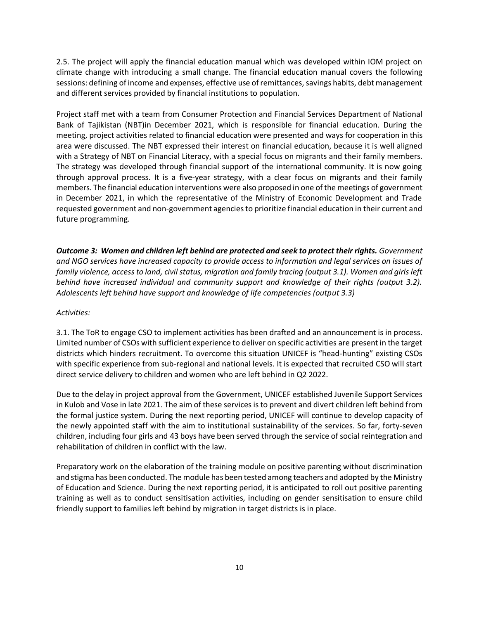2.5. The project will apply the financial education manual which was developed within IOM project on climate change with introducing a small change. The financial education manual covers the following sessions: defining of income and expenses, effective use of remittances, savings habits, debt management and different services provided by financial institutions to population.

Project staff met with a team from Consumer Protection and Financial Services Department of National Bank of Tajikistan (NBT)in December 2021, which is responsible for financial education. During the meeting, project activities related to financial education were presented and ways for cooperation in this area were discussed. The NBT expressed their interest on financial education, because it is well aligned with a Strategy of NBT on Financial Literacy, with a special focus on migrants and their family members. The strategy was developed through financial support of the international community. It is now going through approval process. It is a five-year strategy, with a clear focus on migrants and their family members. The financial education interventions were also proposed in one of the meetings of government in December 2021, in which the representative of the Ministry of Economic Development and Trade requested government and non-government agencies to prioritize financial education in their current and future programming.

*Outcome 3: Women and children left behind are protected and seek to protect their rights. Government and NGO services have increased capacity to provide access to information and legal services on issues of*  family violence, access to land, civil status, migration and family tracing (output 3.1). Women and girls left *behind have increased individual and community support and knowledge of their rights (output 3.2). Adolescents left behind have support and knowledge of life competencies (output 3.3)* 

*Activities:*

3.1. The ToR to engage CSO to implement activities has been drafted and an announcement is in process. Limited number of CSOs with sufficient experience to deliver on specific activities are present in the target districts which hinders recruitment. To overcome this situation UNICEF is "head-hunting" existing CSOs with specific experience from sub-regional and national levels. It is expected that recruited CSO will start direct service delivery to children and women who are left behind in Q2 2022.

Due to the delay in project approval from the Government, UNICEF established Juvenile Support Services in Kulob and Vose in late 2021. The aim of these services is to prevent and divert children left behind from the formal justice system. During the next reporting period, UNICEF will continue to develop capacity of the newly appointed staff with the aim to institutional sustainability of the services. So far, forty-seven children, including four girls and 43 boys have been served through the service of social reintegration and rehabilitation of children in conflict with the law.

Preparatory work on the elaboration of the training module on positive parenting without discrimination and stigma has been conducted. The module has been tested among teachers and adopted by the Ministry of Education and Science. During the next reporting period, it is anticipated to roll out positive parenting training as well as to conduct sensitisation activities, including on gender sensitisation to ensure child friendly support to families left behind by migration in target districts is in place.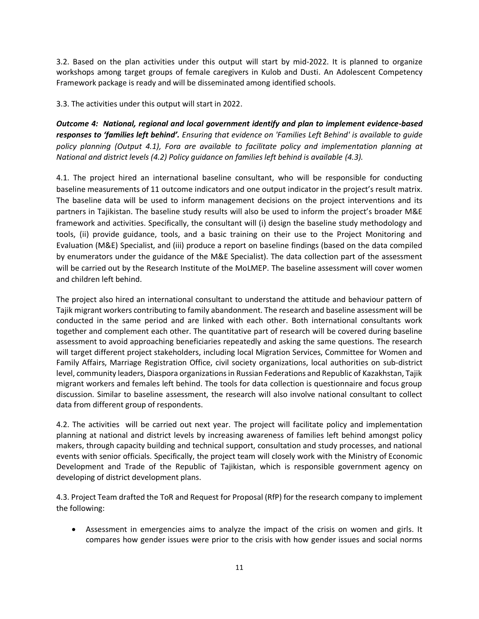3.2. Based on the plan activities under this output will start by mid-2022. It is planned to organize workshops among target groups of female caregivers in Kulob and Dusti. An Adolescent Competency Framework package is ready and will be disseminated among identified schools.

3.3. The activities under this output will start in 2022.

*Outcome 4: National, regional and local government identify and plan to implement evidence-based responses to 'families left behind'. Ensuring that evidence on 'Families Left Behind' is available to guide policy planning (Output 4.1), Fora are available to facilitate policy and implementation planning at National and district levels (4.2) Policy guidance on families left behind is available (4.3).*

4.1. The project hired an international baseline consultant, who will be responsible for conducting baseline measurements of 11 outcome indicators and one output indicator in the project's result matrix. The baseline data will be used to inform management decisions on the project interventions and its partners in Tajikistan. The baseline study results will also be used to inform the project's broader M&E framework and activities. Specifically, the consultant will (i) design the baseline study methodology and tools, (ii) provide guidance, tools, and a basic training on their use to the Project Monitoring and Evaluation (M&E) Specialist, and (iii) produce a report on baseline findings (based on the data compiled by enumerators under the guidance of the M&E Specialist). The data collection part of the assessment will be carried out by the Research Institute of the MoLMEP. The baseline assessment will cover women and children left behind.

The project also hired an international consultant to understand the attitude and behaviour pattern of Tajik migrant workers contributing to family abandonment. The research and baseline assessment will be conducted in the same period and are linked with each other. Both international consultants work together and complement each other. The quantitative part of research will be covered during baseline assessment to avoid approaching beneficiaries repeatedly and asking the same questions. The research will target different project stakeholders, including local Migration Services, Committee for Women and Family Affairs, Marriage Registration Office, civil society organizations, local authorities on sub-district level, community leaders, Diaspora organizations in Russian Federations and Republic of Kazakhstan, Tajik migrant workers and females left behind. The tools for data collection is questionnaire and focus group discussion. Similar to baseline assessment, the research will also involve national consultant to collect data from different group of respondents.

4.2. The activities will be carried out next year. The project will facilitate policy and implementation planning at national and district levels by increasing awareness of families left behind amongst policy makers, through capacity building and technical support, consultation and study processes, and national events with senior officials. Specifically, the project team will closely work with the Ministry of Economic Development and Trade of the Republic of Tajikistan, which is responsible government agency on developing of district development plans.

4.3. Project Team drafted the ToR and Request for Proposal (RfP) for the research company to implement the following:

• Assessment in emergencies aims to analyze the impact of the crisis on women and girls. It compares how gender issues were prior to the crisis with how gender issues and social norms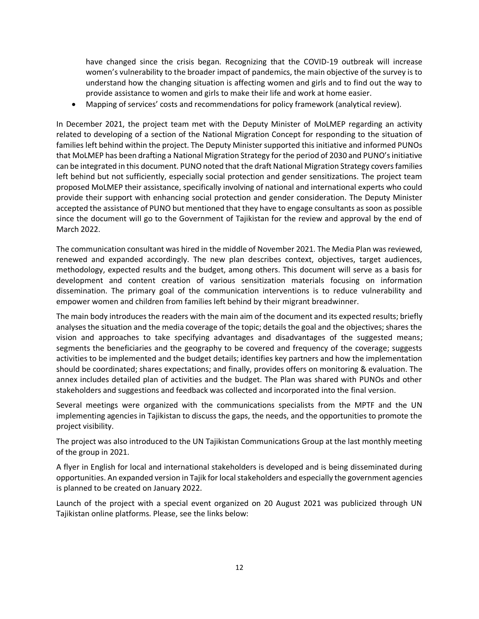have changed since the crisis began. Recognizing that the COVID-19 outbreak will increase women's vulnerability to the broader impact of pandemics, the main objective of the survey is to understand how the changing situation is affecting women and girls and to find out the way to provide assistance to women and girls to make their life and work at home easier.

• Mapping of services' costs and recommendations for policy framework (analytical review).

In December 2021, the project team met with the Deputy Minister of MoLMEP regarding an activity related to developing of a section of the National Migration Concept for responding to the situation of families left behind within the project. The Deputy Minister supported this initiative and informed PUNOs that MoLMEP has been drafting a National Migration Strategy for the period of 2030 and PUNO's initiative can be integrated in this document. PUNO noted that the draft National Migration Strategy covers families left behind but not sufficiently, especially social protection and gender sensitizations. The project team proposed MoLMEP their assistance, specifically involving of national and international experts who could provide their support with enhancing social protection and gender consideration. The Deputy Minister accepted the assistance of PUNO but mentioned that they have to engage consultants as soon as possible since the document will go to the Government of Tajikistan for the review and approval by the end of March 2022.

The communication consultant was hired in the middle of November 2021. The Media Plan was reviewed, renewed and expanded accordingly. The new plan describes context, objectives, target audiences, methodology, expected results and the budget, among others. This document will serve as a basis for development and content creation of various sensitization materials focusing on information dissemination. The primary goal of the communication interventions is to reduce vulnerability and empower women and children from families left behind by their migrant breadwinner.

The main body introduces the readers with the main aim of the document and its expected results; briefly analyses the situation and the media coverage of the topic; details the goal and the objectives; shares the vision and approaches to take specifying advantages and disadvantages of the suggested means; segments the beneficiaries and the geography to be covered and frequency of the coverage; suggests activities to be implemented and the budget details; identifies key partners and how the implementation should be coordinated; shares expectations; and finally, provides offers on monitoring & evaluation. The annex includes detailed plan of activities and the budget. The Plan was shared with PUNOs and other stakeholders and suggestions and feedback was collected and incorporated into the final version.

Several meetings were organized with the communications specialists from the MPTF and the UN implementing agencies in Tajikistan to discuss the gaps, the needs, and the opportunities to promote the project visibility.

The project was also introduced to the UN Tajikistan Communications Group at the last monthly meeting of the group in 2021.

A flyer in English for local and international stakeholders is developed and is being disseminated during opportunities. An expanded version in Tajik for local stakeholders and especially the government agencies is planned to be created on January 2022.

Launch of the project with a special event organized on 20 August 2021 was publicized through UN Tajikistan online platforms. Please, see the links below: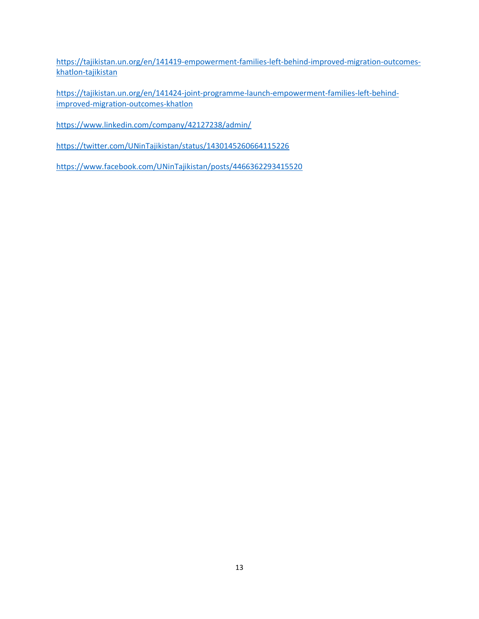[https://tajikistan.un.org/en/141419-empowerment-families-left-behind-improved-migration-outcomes](https://eur02.safelinks.protection.outlook.com/?url=https%3A%2F%2Ftajikistan.un.org%2Fen%2F141419-empowerment-families-left-behind-improved-migration-outcomes-khatlon-tajikistan&data=04%7C01%7Cashafiev%40iom.int%7C2599f90213d84f77c73208d9f1dc0496%7C1588262d23fb43b4bd6ebce49c8e6186%7C1%7C0%7C637806750282827696%7CUnknown%7CTWFpbGZsb3d8eyJWIjoiMC4wLjAwMDAiLCJQIjoiV2luMzIiLCJBTiI6Ik1haWwiLCJXVCI6Mn0%3D%7C3000&sdata=VWxrDh5JN6cV7udyA4PWeL7Xnxs0P4vJW1%2Bd1do3xqA%3D&reserved=0)[khatlon-tajikistan](https://eur02.safelinks.protection.outlook.com/?url=https%3A%2F%2Ftajikistan.un.org%2Fen%2F141419-empowerment-families-left-behind-improved-migration-outcomes-khatlon-tajikistan&data=04%7C01%7Cashafiev%40iom.int%7C2599f90213d84f77c73208d9f1dc0496%7C1588262d23fb43b4bd6ebce49c8e6186%7C1%7C0%7C637806750282827696%7CUnknown%7CTWFpbGZsb3d8eyJWIjoiMC4wLjAwMDAiLCJQIjoiV2luMzIiLCJBTiI6Ik1haWwiLCJXVCI6Mn0%3D%7C3000&sdata=VWxrDh5JN6cV7udyA4PWeL7Xnxs0P4vJW1%2Bd1do3xqA%3D&reserved=0)

[https://tajikistan.un.org/en/141424-joint-programme-launch-empowerment-families-left-behind](https://eur02.safelinks.protection.outlook.com/?url=https%3A%2F%2Ftajikistan.un.org%2Fen%2F141424-joint-programme-launch-empowerment-families-left-behind-improved-migration-outcomes-khatlon&data=04%7C01%7Cashafiev%40iom.int%7C2599f90213d84f77c73208d9f1dc0496%7C1588262d23fb43b4bd6ebce49c8e6186%7C1%7C0%7C637806750282827696%7CUnknown%7CTWFpbGZsb3d8eyJWIjoiMC4wLjAwMDAiLCJQIjoiV2luMzIiLCJBTiI6Ik1haWwiLCJXVCI6Mn0%3D%7C3000&sdata=mLmBLkHYrPfxToFscVWHFhajnRbEAb4yOPQK4aAgMp4%3D&reserved=0)[improved-migration-outcomes-khatlon](https://eur02.safelinks.protection.outlook.com/?url=https%3A%2F%2Ftajikistan.un.org%2Fen%2F141424-joint-programme-launch-empowerment-families-left-behind-improved-migration-outcomes-khatlon&data=04%7C01%7Cashafiev%40iom.int%7C2599f90213d84f77c73208d9f1dc0496%7C1588262d23fb43b4bd6ebce49c8e6186%7C1%7C0%7C637806750282827696%7CUnknown%7CTWFpbGZsb3d8eyJWIjoiMC4wLjAwMDAiLCJQIjoiV2luMzIiLCJBTiI6Ik1haWwiLCJXVCI6Mn0%3D%7C3000&sdata=mLmBLkHYrPfxToFscVWHFhajnRbEAb4yOPQK4aAgMp4%3D&reserved=0)

[https://www.linkedin.com/company/42127238/admin/](https://eur02.safelinks.protection.outlook.com/?url=https%3A%2F%2Fwww.linkedin.com%2Fcompany%2F42127238%2Fadmin%2F&data=04%7C01%7Cashafiev%40iom.int%7C2599f90213d84f77c73208d9f1dc0496%7C1588262d23fb43b4bd6ebce49c8e6186%7C1%7C0%7C637806750282827696%7CUnknown%7CTWFpbGZsb3d8eyJWIjoiMC4wLjAwMDAiLCJQIjoiV2luMzIiLCJBTiI6Ik1haWwiLCJXVCI6Mn0%3D%7C3000&sdata=B4F1Gvk0X%2FJtrP7K3Ujc9AW3J8EkrZpHWXcLG8ds8K8%3D&reserved=0)

[https://twitter.com/UNinTajikistan/status/1430145260664115226](https://eur02.safelinks.protection.outlook.com/?url=https%3A%2F%2Ftwitter.com%2FUNinTajikistan%2Fstatus%2F1430145260664115226&data=04%7C01%7Cashafiev%40iom.int%7C2599f90213d84f77c73208d9f1dc0496%7C1588262d23fb43b4bd6ebce49c8e6186%7C1%7C0%7C637806750282827696%7CUnknown%7CTWFpbGZsb3d8eyJWIjoiMC4wLjAwMDAiLCJQIjoiV2luMzIiLCJBTiI6Ik1haWwiLCJXVCI6Mn0%3D%7C3000&sdata=F2OM953Tomtxnhp63V1nDGPONj9Ciol%2FBE2CObnj4Qk%3D&reserved=0)

[https://www.facebook.com/UNinTajikistan/posts/4466362293415520](https://eur02.safelinks.protection.outlook.com/?url=https%3A%2F%2Fwww.facebook.com%2FUNinTajikistan%2Fposts%2F4466362293415520&data=04%7C01%7Cashafiev%40iom.int%7C2599f90213d84f77c73208d9f1dc0496%7C1588262d23fb43b4bd6ebce49c8e6186%7C1%7C0%7C637806750282983948%7CUnknown%7CTWFpbGZsb3d8eyJWIjoiMC4wLjAwMDAiLCJQIjoiV2luMzIiLCJBTiI6Ik1haWwiLCJXVCI6Mn0%3D%7C3000&sdata=UKs1En0zxmJObnRQqjvKDHHhkbkh6rOMmFphef4XjcE%3D&reserved=0)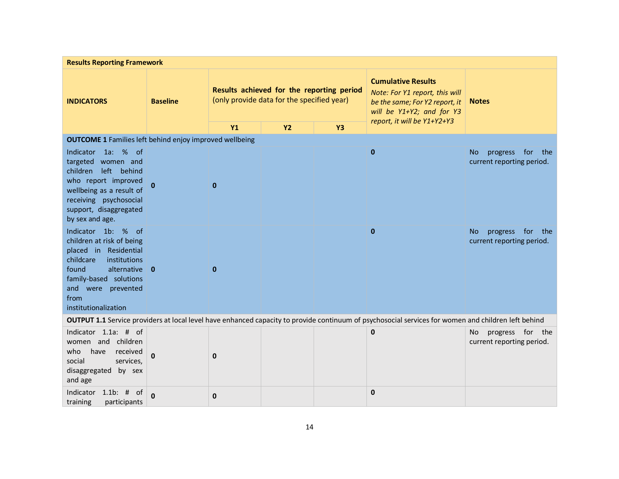| <b>Results Reporting Framework</b>                                                                                                                                                                              |                 |                                                                                         |           |           |                                                                                                                                                     |                                                               |  |  |
|-----------------------------------------------------------------------------------------------------------------------------------------------------------------------------------------------------------------|-----------------|-----------------------------------------------------------------------------------------|-----------|-----------|-----------------------------------------------------------------------------------------------------------------------------------------------------|---------------------------------------------------------------|--|--|
| <b>INDICATORS</b>                                                                                                                                                                                               | <b>Baseline</b> | Results achieved for the reporting period<br>(only provide data for the specified year) |           |           | <b>Cumulative Results</b><br>Note: For Y1 report, this will<br>be the same; For Y2 report, it<br>will be Y1+Y2; and for Y3                          | <b>Notes</b>                                                  |  |  |
|                                                                                                                                                                                                                 |                 | <b>Y1</b>                                                                               | <b>Y2</b> | <b>Y3</b> | report, it will be Y1+Y2+Y3                                                                                                                         |                                                               |  |  |
| <b>OUTCOME 1</b> Families left behind enjoy improved wellbeing                                                                                                                                                  |                 |                                                                                         |           |           |                                                                                                                                                     |                                                               |  |  |
| Indicator 1a: % of<br>targeted women and<br>left behind<br>children<br>who report improved<br>wellbeing as a result of<br>receiving psychosocial<br>support, disaggregated<br>by sex and age.                   |                 | $\mathbf{0}$                                                                            |           |           | $\mathbf{0}$                                                                                                                                        | progress for<br><b>No</b><br>the<br>current reporting period. |  |  |
| Indicator 1b: % of<br>children at risk of being<br>placed in Residential<br>childcare<br>institutions<br>found<br>alternative 0<br>family-based solutions<br>and were prevented<br>from<br>institutionalization |                 | $\mathbf{0}$                                                                            |           |           | $\mathbf{0}$                                                                                                                                        | progress for the<br>No.<br>current reporting period.          |  |  |
|                                                                                                                                                                                                                 |                 |                                                                                         |           |           | OUTPUT 1.1 Service providers at local level have enhanced capacity to provide continuum of psychosocial services for women and children left behind |                                                               |  |  |
| Indicator 1.1a: # of<br>women and children<br>have<br>received<br>who<br>social<br>services,<br>disaggregated by sex<br>and age                                                                                 | $\mathbf{0}$    | 0                                                                                       |           |           | $\mathbf{0}$                                                                                                                                        | progress for the<br>No<br>current reporting period.           |  |  |
| Indicator 1.1b: #<br>of<br>training<br>participants                                                                                                                                                             | $\mathbf{0}$    | $\mathbf 0$                                                                             |           |           | $\mathbf 0$                                                                                                                                         |                                                               |  |  |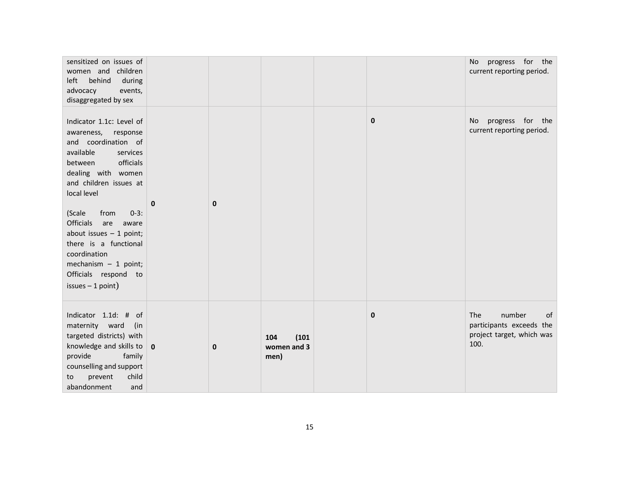| sensitized on issues of<br>women and children<br>behind<br>left<br>during<br>advocacy<br>events,<br>disaggregated by sex                                                                                                                                                                                                                                                                  |              |             |                                     |             | progress for the<br>No<br>current reporting period.                                         |
|-------------------------------------------------------------------------------------------------------------------------------------------------------------------------------------------------------------------------------------------------------------------------------------------------------------------------------------------------------------------------------------------|--------------|-------------|-------------------------------------|-------------|---------------------------------------------------------------------------------------------|
| Indicator 1.1c: Level of<br>awareness, response<br>and coordination of<br>available<br>services<br>officials<br>between<br>dealing with women<br>and children issues at<br>local level<br>(Scale<br>from<br>$0-3:$<br>Officials<br>are aware<br>about issues $-1$ point;<br>there is a functional<br>coordination<br>mechanism $-1$ point;<br>Officials respond to<br>$issues - 1 point)$ | $\mathbf{0}$ | $\mathbf 0$ |                                     | $\mathbf 0$ | progress for the<br>No<br>current reporting period.                                         |
| Indicator 1.1d: # of<br>maternity ward<br>(in<br>targeted districts) with<br>knowledge and skills to $\vert$ 0<br>provide<br>family<br>counselling and support<br>child<br>prevent<br>to<br>abandonment<br>and                                                                                                                                                                            |              | $\mathbf 0$ | 104<br>(101)<br>women and 3<br>men) | $\mathbf 0$ | number<br><b>The</b><br>of<br>participants exceeds the<br>project target, which was<br>100. |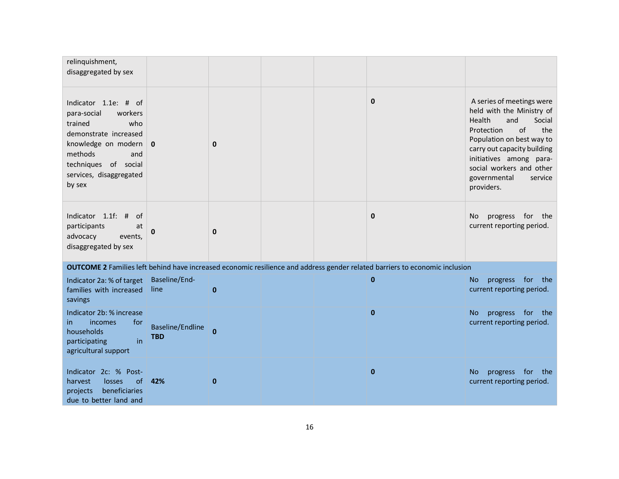| relinquishment,<br>disaggregated by sex                                                                                                                                                         |                                |              |  |                                                                                                                                    |                                                                                                                                                                                                                                                                          |
|-------------------------------------------------------------------------------------------------------------------------------------------------------------------------------------------------|--------------------------------|--------------|--|------------------------------------------------------------------------------------------------------------------------------------|--------------------------------------------------------------------------------------------------------------------------------------------------------------------------------------------------------------------------------------------------------------------------|
| Indicator 1.1e: # of<br>para-social<br>workers<br>trained<br>who<br>demonstrate increased<br>knowledge on modern<br>methods<br>and<br>techniques of social<br>services, disaggregated<br>by sex | $\mathbf{0}$                   | $\mathbf 0$  |  | $\mathbf{0}$                                                                                                                       | A series of meetings were<br>held with the Ministry of<br>and<br>Health<br>Social<br>Protection<br>of<br>the<br>Population on best way to<br>carry out capacity building<br>initiatives among para-<br>social workers and other<br>governmental<br>service<br>providers. |
| Indicator 1.1f: #<br>of<br>participants<br>at<br>advocacy<br>events,<br>disaggregated by sex                                                                                                    | 0                              | $\mathbf 0$  |  | $\mathbf{0}$                                                                                                                       | progress for<br><b>No</b><br>the<br>current reporting period.                                                                                                                                                                                                            |
|                                                                                                                                                                                                 |                                |              |  | <b>OUTCOME 2</b> Families left behind have increased economic resilience and address gender related barriers to economic inclusion |                                                                                                                                                                                                                                                                          |
| Indicator 2a: % of target<br>families with increased<br>savings                                                                                                                                 | Baseline/End-<br>line.         | $\mathbf{0}$ |  | $\mathbf{0}$                                                                                                                       | progress for<br>the<br>No.<br>current reporting period.                                                                                                                                                                                                                  |
| Indicator 2b: % increase<br>for<br><i>incomes</i><br>in.<br>households<br>in<br>participating<br>agricultural support                                                                           | Baseline/Endline<br><b>TBD</b> | $\bf{0}$     |  | $\mathbf{0}$                                                                                                                       | progress for<br>the<br>No.<br>current reporting period.                                                                                                                                                                                                                  |
| Indicator 2c: % Post-<br>losses<br><sub>of</sub><br>harvest<br>beneficiaries<br>projects<br>due to better land and                                                                              | 42%                            | $\mathbf 0$  |  | $\mathbf{0}$                                                                                                                       | progress for<br>No.<br>the<br>current reporting period.                                                                                                                                                                                                                  |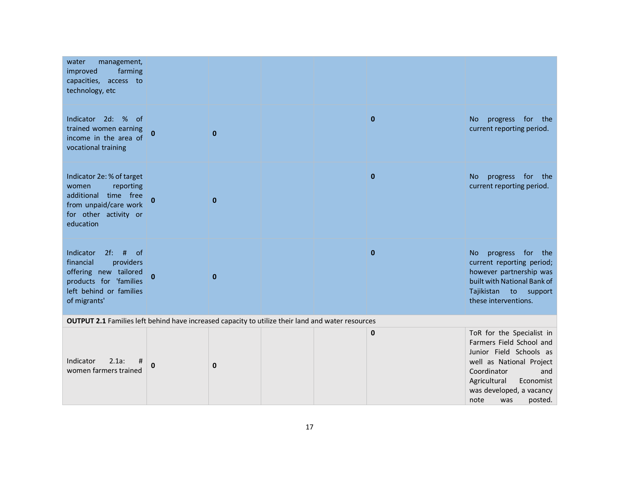| management,<br>water<br>farming<br>improved<br>capacities, access to<br>technology, etc                                                          |              |              |  |              |                                                                                                                                                                                                                       |
|--------------------------------------------------------------------------------------------------------------------------------------------------|--------------|--------------|--|--------------|-----------------------------------------------------------------------------------------------------------------------------------------------------------------------------------------------------------------------|
| Indicator 2d: % of<br>trained women earning<br>income in the area of<br>vocational training                                                      | $\bf{0}$     | $\mathbf{0}$ |  | $\mathbf{0}$ | No progress for the<br>current reporting period.                                                                                                                                                                      |
| Indicator 2e: % of target<br>reporting<br>women<br>additional time free<br>from unpaid/care work<br>for other activity or<br>education           | $\mathbf{0}$ | $\mathbf{0}$ |  | $\mathbf{0}$ | progress for the<br>No<br>current reporting period.                                                                                                                                                                   |
| $2f$ : # of<br>Indicator<br>financial<br>providers<br>offering new tailored<br>products for 'families<br>left behind or families<br>of migrants' | $\mathbf{0}$ | $\mathbf{0}$ |  | $\mathbf{0}$ | progress for the<br><b>No</b><br>current reporting period;<br>however partnership was<br>built with National Bank of<br>Tajikistan to support<br>these interventions.                                                 |
| <b>OUTPUT 2.1</b> Families left behind have increased capacity to utilize their land and water resources                                         |              |              |  |              |                                                                                                                                                                                                                       |
| Indicator<br>2.1a:<br>#<br>women farmers trained                                                                                                 | 0            | $\mathbf 0$  |  | 0            | ToR for the Specialist in<br>Farmers Field School and<br>Junior Field Schools as<br>well as National Project<br>Coordinator<br>and<br>Agricultural<br>Economist<br>was developed, a vacancy<br>note<br>posted.<br>was |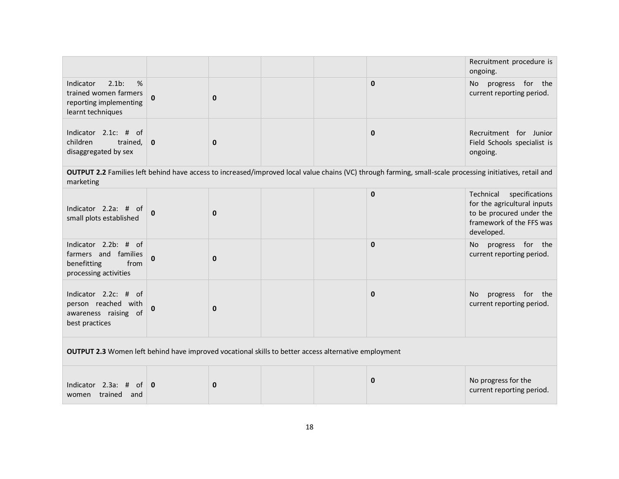|                                                                                                             |              |              |  |  |                                                                                                                                                           | Recruitment procedure is<br>ongoing.                                                                                             |  |  |
|-------------------------------------------------------------------------------------------------------------|--------------|--------------|--|--|-----------------------------------------------------------------------------------------------------------------------------------------------------------|----------------------------------------------------------------------------------------------------------------------------------|--|--|
| $2.1b$ :<br>%<br>Indicator<br>trained women farmers<br>reporting implementing<br>learnt techniques          | $\Omega$     | $\mathbf{0}$ |  |  | $\mathbf 0$                                                                                                                                               | progress for the<br>No<br>current reporting period.                                                                              |  |  |
| Indicator 2.1c: #<br>of<br>children<br>trained,<br>disaggregated by sex                                     | $\mathbf 0$  | $\mathbf 0$  |  |  | $\mathbf 0$                                                                                                                                               | Recruitment for Junior<br>Field Schools specialist is<br>ongoing.                                                                |  |  |
| marketing                                                                                                   |              |              |  |  | OUTPUT 2.2 Families left behind have access to increased/improved local value chains (VC) through farming, small-scale processing initiatives, retail and |                                                                                                                                  |  |  |
| Indicator 2.2a: # of<br>small plots established                                                             | $\Omega$     | $\bf{0}$     |  |  | $\pmb{0}$                                                                                                                                                 | specifications<br>Technical<br>for the agricultural inputs<br>to be procured under the<br>framework of the FFS was<br>developed. |  |  |
| Indicator 2.2b: # of<br>farmers and families<br>benefitting<br>from<br>processing activities                | 0            | 0            |  |  | $\mathbf 0$                                                                                                                                               | No progress for the<br>current reporting period.                                                                                 |  |  |
| Indicator 2.2c: # of<br>person reached with<br>awareness raising of<br>best practices                       | O            | $\bf{0}$     |  |  | $\mathbf 0$                                                                                                                                               | progress for the<br>No.<br>current reporting period.                                                                             |  |  |
| <b>OUTPUT 2.3</b> Women left behind have improved vocational skills to better access alternative employment |              |              |  |  |                                                                                                                                                           |                                                                                                                                  |  |  |
| Indicator 2.3a: #<br>_of<br>women trained<br>and                                                            | $\mathbf{0}$ | $\bf{0}$     |  |  | $\mathbf 0$                                                                                                                                               | No progress for the<br>current reporting period.                                                                                 |  |  |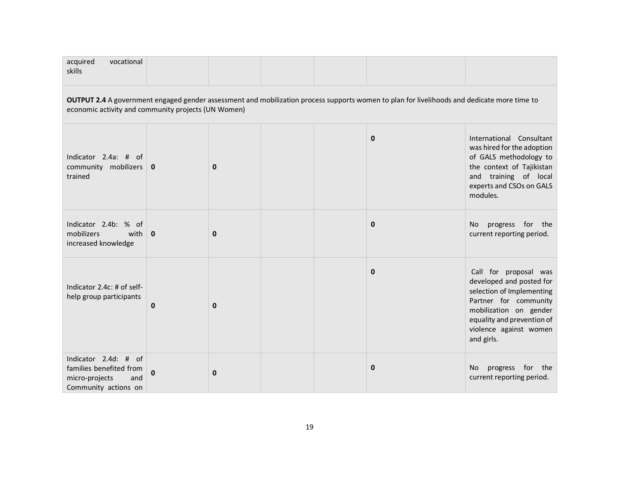| acquired<br>vocational<br>skills                                                                                                                                                                   |             |             |  |  |              |                                                                                                                                                                                                         |  |  |  |  |
|----------------------------------------------------------------------------------------------------------------------------------------------------------------------------------------------------|-------------|-------------|--|--|--------------|---------------------------------------------------------------------------------------------------------------------------------------------------------------------------------------------------------|--|--|--|--|
| OUTPUT 2.4 A government engaged gender assessment and mobilization process supports women to plan for livelihoods and dedicate more time to<br>economic activity and community projects (UN Women) |             |             |  |  |              |                                                                                                                                                                                                         |  |  |  |  |
| Indicator 2.4a: # of<br>community mobilizers $\vert$ 0<br>trained                                                                                                                                  |             | $\mathbf 0$ |  |  | $\mathbf{0}$ | International Consultant<br>was hired for the adoption<br>of GALS methodology to<br>the context of Tajikistan<br>and training of local<br>experts and CSOs on GALS<br>modules.                          |  |  |  |  |
| Indicator 2.4b: % of<br>mobilizers<br>with $\vert$ 0<br>increased knowledge                                                                                                                        |             | $\bf{0}$    |  |  | $\mathbf{0}$ | progress for the<br>No.<br>current reporting period.                                                                                                                                                    |  |  |  |  |
| Indicator 2.4c: # of self-<br>help group participants                                                                                                                                              | $\mathbf 0$ | $\mathbf 0$ |  |  | $\mathbf{0}$ | Call for proposal was<br>developed and posted for<br>selection of Implementing<br>Partner for community<br>mobilization on gender<br>equality and prevention of<br>violence against women<br>and girls. |  |  |  |  |
| Indicator 2.4d: # of<br>families benefited from<br>micro-projects<br>and<br>Community actions on                                                                                                   | O           | 0           |  |  | 0            | progress for the<br>No<br>current reporting period.                                                                                                                                                     |  |  |  |  |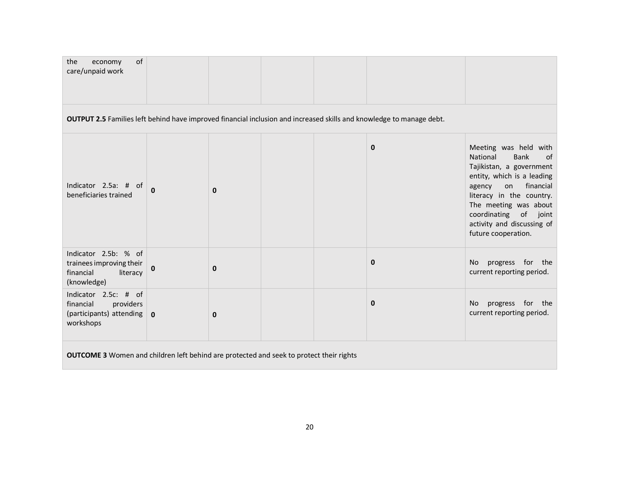| of<br>the<br>economy<br>care/unpaid work                                                                             |              |             |  |             |                                                                                                                                                                                                                                                                                     |
|----------------------------------------------------------------------------------------------------------------------|--------------|-------------|--|-------------|-------------------------------------------------------------------------------------------------------------------------------------------------------------------------------------------------------------------------------------------------------------------------------------|
| OUTPUT 2.5 Families left behind have improved financial inclusion and increased skills and knowledge to manage debt. |              |             |  |             |                                                                                                                                                                                                                                                                                     |
| Indicator 2.5a: # of<br>beneficiaries trained                                                                        | 0            | $\mathbf 0$ |  | $\mathbf 0$ | Meeting was held with<br>National<br><b>Bank</b><br>of<br>Tajikistan, a government<br>entity, which is a leading<br>financial<br>agency<br>on<br>literacy in the country.<br>The meeting was about<br>coordinating<br>of joint<br>activity and discussing of<br>future cooperation. |
| Indicator 2.5b: % of<br>trainees improving their<br>financial<br>literacy<br>(knowledge)                             | 0            | $\mathbf 0$ |  | $\mathbf 0$ | progress for the<br>No<br>current reporting period.                                                                                                                                                                                                                                 |
| Indicator 2.5c: # of<br>financial<br>providers<br>(participants) attending<br>workshops                              | $\mathbf{0}$ | $\mathbf 0$ |  | $\mathbf 0$ | progress for the<br>No<br>current reporting period.                                                                                                                                                                                                                                 |
| <b>OUTCOME 3</b> Women and children left behind are protected and seek to protect their rights                       |              |             |  |             |                                                                                                                                                                                                                                                                                     |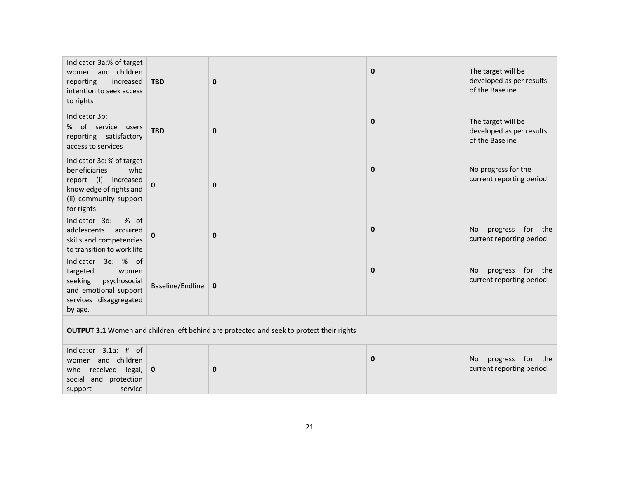| Indicator 3a:% of target<br>women and children<br>reporting<br>increased<br>intention to seek access<br>to rights                            | <b>TBD</b>                 | $\mathbf 0$ |  |  | $\mathbf{0}$ | The target will be<br>developed as per results<br>of the Baseline |  |  |
|----------------------------------------------------------------------------------------------------------------------------------------------|----------------------------|-------------|--|--|--------------|-------------------------------------------------------------------|--|--|
| Indicator 3b:<br>% of service users<br>reporting satisfactory<br>access to services                                                          | <b>TBD</b>                 | $\mathbf 0$ |  |  | $\mathbf{0}$ | The target will be<br>developed as per results<br>of the Baseline |  |  |
| Indicator 3c: % of target<br>beneficiaries<br>who<br>report (i) increased<br>knowledge of rights and<br>(ii) community support<br>for rights | 0                          | $\mathbf 0$ |  |  | $\mathbf{0}$ | No progress for the<br>current reporting period.                  |  |  |
| Indicator 3d:<br>% of<br>adolescents<br>acquired<br>skills and competencies<br>to transition to work life                                    | 0                          | $\mathbf 0$ |  |  | $\mathbf{0}$ | progress for the<br>No<br>current reporting period.               |  |  |
| Indicator 3e: % of<br>targeted<br>women<br>seeking<br>psychosocial<br>and emotional support<br>services disaggregated<br>by age.             | Baseline/Endline $\vert$ 0 |             |  |  | $\mathbf{0}$ | progress for the<br>No.<br>current reporting period.              |  |  |
| <b>OUTPUT 3.1</b> Women and children left behind are protected and seek to protect their rights                                              |                            |             |  |  |              |                                                                   |  |  |
| Indicator 3.1a: # of<br>women and children<br>received<br>legal,<br>who<br>social and protection<br>service<br>support                       | 0                          | $\mathbf 0$ |  |  | $\mathbf{0}$ | progress for the<br>No<br>current reporting period.               |  |  |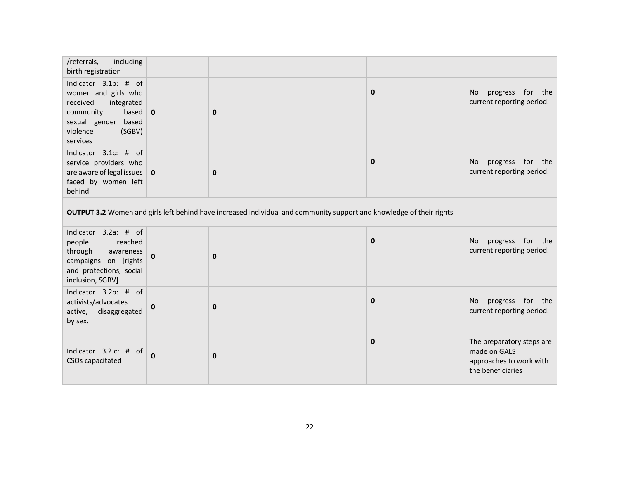| /referrals,<br>including<br>birth registration                                                                                                       |                                                                                                                      |             |              |  |                                                                                           |  |  |  |  |
|------------------------------------------------------------------------------------------------------------------------------------------------------|----------------------------------------------------------------------------------------------------------------------|-------------|--------------|--|-------------------------------------------------------------------------------------------|--|--|--|--|
| Indicator 3.1b: # of<br>women and girls who<br>received<br>integrated<br>based<br>community<br>sexual gender based<br>violence<br>(SGBV)<br>services | $\overline{0}$                                                                                                       | $\mathbf 0$ | $\mathbf{0}$ |  | progress for the<br>No<br>current reporting period.                                       |  |  |  |  |
| Indicator 3.1c: # of<br>service providers who<br>are aware of legal issues $\vert$ 0<br>faced by women left<br>behind                                |                                                                                                                      | $\mathbf 0$ | $\mathbf 0$  |  | progress for the<br>No<br>current reporting period.                                       |  |  |  |  |
|                                                                                                                                                      | OUTPUT 3.2 Women and girls left behind have increased individual and community support and knowledge of their rights |             |              |  |                                                                                           |  |  |  |  |
| Indicator 3.2a: # of<br>people<br>reached<br>through<br>awareness<br>campaigns on [rights<br>and protections, social<br>inclusion, SGBV]             | 0                                                                                                                    | $\bf{0}$    | $\mathbf{0}$ |  | progress for the<br>No<br>current reporting period.                                       |  |  |  |  |
| Indicator 3.2b: # of<br>activists/advocates<br>disaggregated<br>active,<br>by sex.                                                                   | $\bf{0}$                                                                                                             | $\mathbf 0$ | $\mathbf 0$  |  | progress for the<br>No<br>current reporting period.                                       |  |  |  |  |
| Indicator 3.2.c: # of<br>CSOs capacitated                                                                                                            | $\mathbf 0$                                                                                                          | $\bf{0}$    | $\mathbf{0}$ |  | The preparatory steps are<br>made on GALS<br>approaches to work with<br>the beneficiaries |  |  |  |  |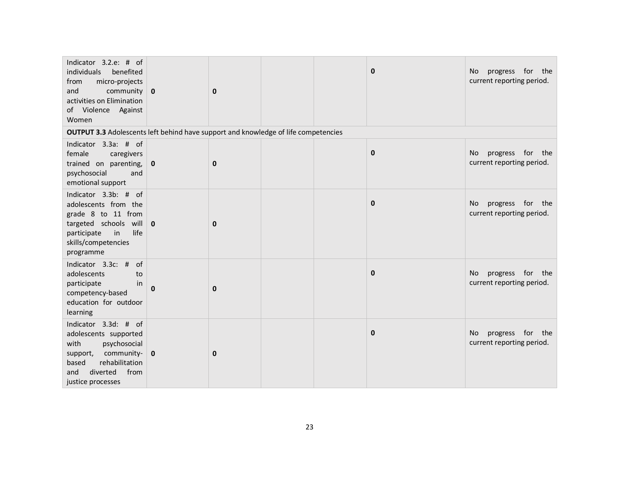| Indicator 3.2.e: # of<br>individuals<br>benefited<br>micro-projects<br>from<br>and<br>community $\vert$ 0<br>activities on Elimination<br>of Violence Against<br>Women                       |              | $\mathbf{0}$ |  | $\mathbf 0$  | progress for the<br>No.<br>current reporting period. |
|----------------------------------------------------------------------------------------------------------------------------------------------------------------------------------------------|--------------|--------------|--|--------------|------------------------------------------------------|
| <b>OUTPUT 3.3</b> Adolescents left behind have support and knowledge of life competencies                                                                                                    |              |              |  |              |                                                      |
| Indicator 3.3a: # of<br>female<br>caregivers<br>trained on parenting,<br>psychosocial<br>and<br>emotional support                                                                            | $\mathbf{0}$ | $\mathbf 0$  |  | $\mathbf{0}$ | progress for the<br>No<br>current reporting period.  |
| Indicator 3.3b: # of<br>adolescents from the<br>grade 8 to 11 from<br>targeted schools will $\vert$ 0<br>life<br>participate<br>$\overline{\mathsf{in}}$<br>skills/competencies<br>programme |              | $\mathbf 0$  |  | $\mathbf{0}$ | progress for the<br>No<br>current reporting period.  |
| Indicator 3.3c: # of<br>adolescents<br>to<br>in<br>participate<br>competency-based<br>education for outdoor<br>learning                                                                      | $\bf{0}$     | $\mathbf 0$  |  | $\mathbf{0}$ | progress for the<br>No.<br>current reporting period. |
| Indicator 3.3d: # of<br>adolescents supported<br>with<br>psychosocial<br>community- $\vert$ 0<br>support,<br>rehabilitation<br>based<br>diverted<br>from<br>and<br>justice processes         |              | $\mathbf 0$  |  | $\mathbf{0}$ | progress for the<br>No<br>current reporting period.  |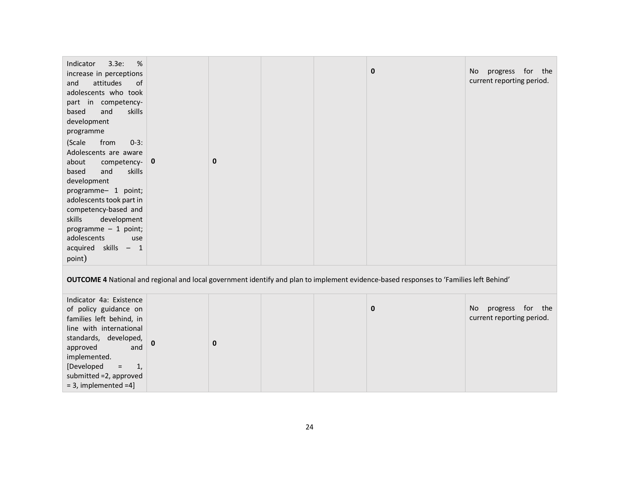| Indicator<br>3.3e:<br>%<br>increase in perceptions<br>and<br>attitudes<br>of<br>adolescents who took<br>part in competency-<br>and<br>skills<br>based<br>development<br>programme<br>(Scale<br>from<br>$0-3:$<br>Adolescents are aware<br>about<br>competency-<br>and<br>skills<br>based<br>development<br>programme- 1 point;<br>adolescents took part in<br>competency-based and<br>skills<br>development<br>programme $-1$ point;<br>adolescents<br>use<br>acquired skills - 1 | $\mathbf 0$ | $\mathbf 0$ |  |  | $\mathbf 0$ | progress for the<br>No<br>current reporting period. |  |
|-----------------------------------------------------------------------------------------------------------------------------------------------------------------------------------------------------------------------------------------------------------------------------------------------------------------------------------------------------------------------------------------------------------------------------------------------------------------------------------|-------------|-------------|--|--|-------------|-----------------------------------------------------|--|
| point)<br>OUTCOME 4 National and regional and local government identify and plan to implement evidence-based responses to 'Families left Behind'                                                                                                                                                                                                                                                                                                                                  |             |             |  |  |             |                                                     |  |
| Indicator 4a: Existence<br>of policy guidance on<br>families left behind, in<br>line with international<br>standards, developed,<br>approved<br>and<br>implemented.<br>[Developed<br>1,<br>$\equiv$<br>submitted = 2, approved<br>$=$ 3, implemented $=4$ ]                                                                                                                                                                                                                       | 0           | $\mathbf 0$ |  |  | $\mathbf 0$ | progress for the<br>No<br>current reporting period. |  |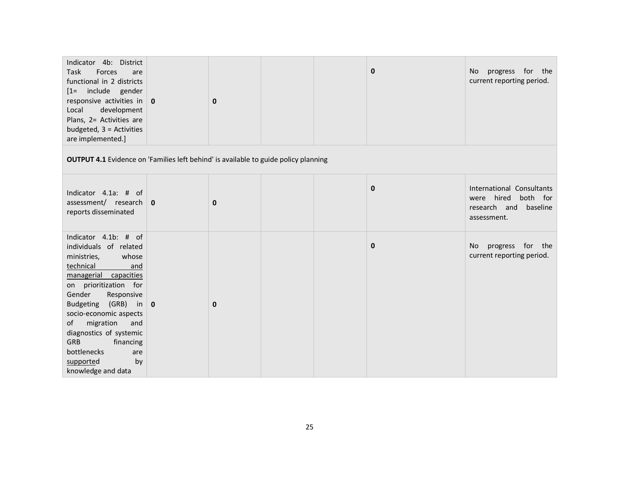| Indicator 4b: District<br>Task<br>Forces<br>are<br>functional in 2 districts<br>[1= include gender<br>responsive activities in $\vert$ 0<br>development<br>Local<br>Plans, 2= Activities are<br>budgeted, $3 =$ Activities<br>are implemented.]                                                                                                                               |  | $\mathbf 0$ |  |  | $\mathbf 0$  | No progress for the<br>current reporting period.                                         |  |
|-------------------------------------------------------------------------------------------------------------------------------------------------------------------------------------------------------------------------------------------------------------------------------------------------------------------------------------------------------------------------------|--|-------------|--|--|--------------|------------------------------------------------------------------------------------------|--|
| <b>OUTPUT 4.1</b> Evidence on 'Families left behind' is available to guide policy planning                                                                                                                                                                                                                                                                                    |  |             |  |  |              |                                                                                          |  |
| Indicator 4.1a: # of<br>assessment/ research $\vert$ 0<br>reports disseminated                                                                                                                                                                                                                                                                                                |  | 0           |  |  | $\mathbf{0}$ | International Consultants<br>were hired both for<br>research and baseline<br>assessment. |  |
| Indicator 4.1b: # of<br>individuals of related<br>ministries,<br>whose<br>technical<br>and<br>managerial capacities<br>on prioritization for<br>Gender<br>Responsive<br>Budgeting (GRB) in $\vert$ 0<br>socio-economic aspects<br>of<br>migration<br>and<br>diagnostics of systemic<br><b>GRB</b><br>financing<br>bottlenecks<br>are<br>by<br>supported<br>knowledge and data |  | $\mathbf 0$ |  |  | $\mathbf{0}$ | progress for the<br>No.<br>current reporting period.                                     |  |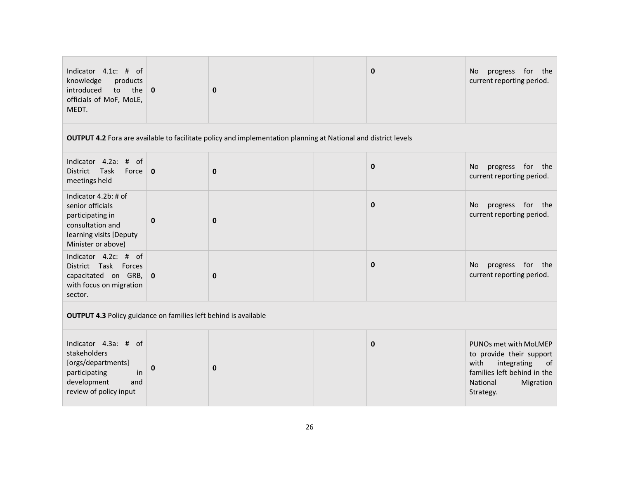| Indicator 4.1c: # of<br>knowledge<br>products<br>introduced<br>to the<br>officials of MoF, MoLE,<br>MEDT.                         | $\bf{0}$     | $\mathbf 0$ |  |  | $\mathbf{0}$ | progress for the<br>No<br>current reporting period.                                                                                                            |  |
|-----------------------------------------------------------------------------------------------------------------------------------|--------------|-------------|--|--|--------------|----------------------------------------------------------------------------------------------------------------------------------------------------------------|--|
| OUTPUT 4.2 Fora are available to facilitate policy and implementation planning at National and district levels                    |              |             |  |  |              |                                                                                                                                                                |  |
| Indicator 4.2a: # of<br>District Task<br>Force $\vert$ 0<br>meetings held                                                         |              | $\bf{0}$    |  |  | $\mathbf 0$  | progress for the<br>No.<br>current reporting period.                                                                                                           |  |
| Indicator 4.2b: # of<br>senior officials<br>participating in<br>consultation and<br>learning visits [Deputy<br>Minister or above) | $\mathbf 0$  | $\mathbf 0$ |  |  | $\mathbf 0$  | progress for the<br>No.<br>current reporting period.                                                                                                           |  |
| Indicator 4.2c: # of<br>District Task Forces<br>capacitated on GRB,<br>with focus on migration<br>sector.                         | $\mathbf 0$  | $\mathbf 0$ |  |  | $\mathbf{0}$ | progress for the<br>No.<br>current reporting period.                                                                                                           |  |
| <b>OUTPUT 4.3 Policy guidance on families left behind is available</b>                                                            |              |             |  |  |              |                                                                                                                                                                |  |
| Indicator 4.3a: # of<br>stakeholders<br>[orgs/departments]<br>participating<br>in<br>development<br>and<br>review of policy input | $\mathbf{0}$ | $\bf{0}$    |  |  | $\mathbf{0}$ | PUNOs met with MoLMEP<br>to provide their support<br>with<br>integrating<br><sub>of</sub><br>families left behind in the<br>National<br>Migration<br>Strategy. |  |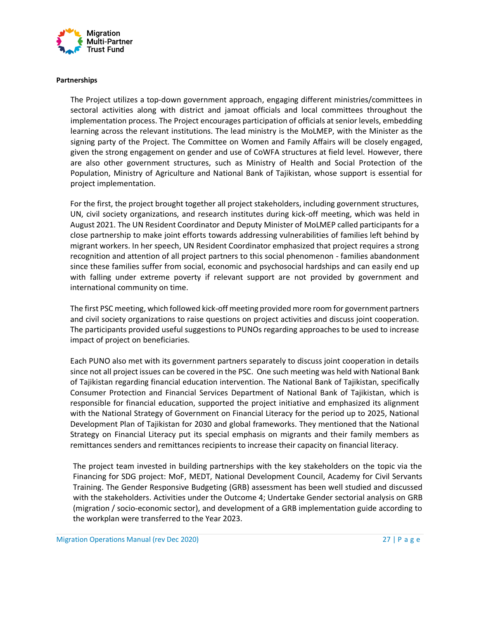

#### **Partnerships**

The Project utilizes a top-down government approach, engaging different ministries/committees in sectoral activities along with district and jamoat officials and local committees throughout the implementation process. The Project encourages participation of officials at senior levels, embedding learning across the relevant institutions. The lead ministry is the MoLMEP, with the Minister as the signing party of the Project. The Committee on Women and Family Affairs will be closely engaged, given the strong engagement on gender and use of CoWFA structures at field level. However, there are also other government structures, such as Ministry of Health and Social Protection of the Population, Ministry of Agriculture and National Bank of Tajikistan, whose support is essential for project implementation.

For the first, the project brought together all project stakeholders, including government structures, UN, civil society organizations, and research institutes during kick-off meeting, which was held in August 2021. The UN Resident Coordinator and Deputy Minister of MoLMEP called participants for a close partnership to make joint efforts towards addressing vulnerabilities of families left behind by migrant workers. In her speech, UN Resident Coordinator emphasized that project requires a strong recognition and attention of all project partners to this social phenomenon - families abandonment since these families suffer from social, economic and psychosocial hardships and can easily end up with falling under extreme poverty if relevant support are not provided by government and international community on time.

The first PSC meeting, which followed kick-off meeting provided more room for government partners and civil society organizations to raise questions on project activities and discuss joint cooperation. The participants provided useful suggestions to PUNOs regarding approaches to be used to increase impact of project on beneficiaries.

Each PUNO also met with its government partners separately to discuss joint cooperation in details since not all project issues can be covered in the PSC. One such meeting was held with National Bank of Tajikistan regarding financial education intervention. The National Bank of Tajikistan, specifically Consumer Protection and Financial Services Department of National Bank of Tajikistan, which is responsible for financial education, supported the project initiative and emphasized its alignment with the National Strategy of Government on Financial Literacy for the period up to 2025, National Development Plan of Tajikistan for 2030 and global frameworks. They mentioned that the National Strategy on Financial Literacy put its special emphasis on migrants and their family members as remittances senders and remittances recipients to increase their capacity on financial literacy.

The project team invested in building partnerships with the key stakeholders on the topic via the Financing for SDG project: MoF, MEDT, National Development Council, Academy for Civil Servants Training. The Gender Responsive Budgeting (GRB) assessment has been well studied and discussed with the stakeholders. Activities under the Outcome 4; Undertake Gender sectorial analysis on GRB (migration / socio-economic sector), and development of a GRB implementation guide according to the workplan were transferred to the Year 2023.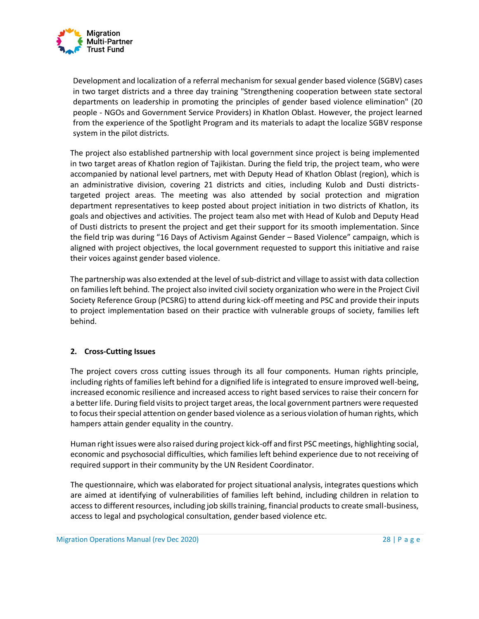

Development and localization of a referral mechanism for sexual gender based violence (SGBV) cases in two target districts and a three day training "Strengthening cooperation between state sectoral departments on leadership in promoting the principles of gender based violence elimination" (20 people - NGOs and Government Service Providers) in Khatlon Oblast. However, the project learned from the experience of the Spotlight Program and its materials to adapt the localize SGBV response system in the pilot districts.

The project also established partnership with local government since project is being implemented in two target areas of Khatlon region of Tajikistan. During the field trip, the project team, who were accompanied by national level partners, met with Deputy Head of Khatlon Oblast (region), which is an administrative division, covering 21 districts and cities, including Kulob and Dusti districtstargeted project areas. The meeting was also attended by social protection and migration department representatives to keep posted about project initiation in two districts of Khatlon, its goals and objectives and activities. The project team also met with Head of Kulob and Deputy Head of Dusti districts to present the project and get their support for its smooth implementation. Since the field trip was during "16 Days of Activism Against Gender – Based Violence" campaign, which is aligned with project objectives, the local government requested to support this initiative and raise their voices against gender based violence.

The partnership was also extended at the level of sub-district and village to assist with data collection on families left behind. The project also invited civil society organization who were in the Project Civil Society Reference Group (PCSRG) to attend during kick-off meeting and PSC and provide their inputs to project implementation based on their practice with vulnerable groups of society, families left behind.

## **2. Cross-Cutting Issues**

The project covers cross cutting issues through its all four components. Human rights principle, including rights of families left behind for a dignified life is integrated to ensure improved well-being, increased economic resilience and increased access to right based services to raise their concern for a better life. During field visits to project target areas, the local government partners were requested to focus their special attention on gender based violence as a serious violation of human rights, which hampers attain gender equality in the country.

Human right issues were also raised during project kick-off and first PSC meetings, highlighting social, economic and psychosocial difficulties, which families left behind experience due to not receiving of required support in their community by the UN Resident Coordinator.

The questionnaire, which was elaborated for project situational analysis, integrates questions which are aimed at identifying of vulnerabilities of families left behind, including children in relation to access to different resources, including job skills training, financial products to create small-business, access to legal and psychological consultation, gender based violence etc.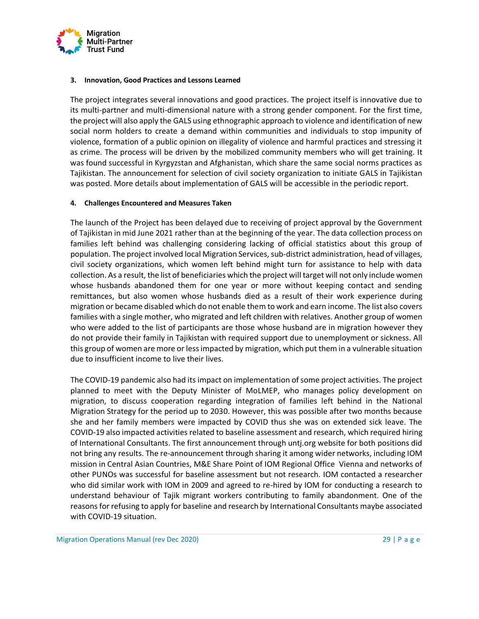

#### **3. Innovation, Good Practices and Lessons Learned**

The project integrates several innovations and good practices. The project itself is innovative due to its multi-partner and multi-dimensional nature with a strong gender component. For the first time, the project will also apply the GALS using ethnographic approach to violence and identification of new social norm holders to create a demand within communities and individuals to stop impunity of violence, formation of a public opinion on illegality of violence and harmful practices and stressing it as crime. The process will be driven by the mobilized community members who will get training. It was found successful in Kyrgyzstan and Afghanistan, which share the same social norms practices as Tajikistan. The announcement for selection of civil society organization to initiate GALS in Tajikistan was posted. More details about implementation of GALS will be accessible in the periodic report.

#### **4. Challenges Encountered and Measures Taken**

The launch of the Project has been delayed due to receiving of project approval by the Government of Tajikistan in mid June 2021 rather than at the beginning of the year. The data collection process on families left behind was challenging considering lacking of official statistics about this group of population. The project involved local Migration Services, sub-district administration, head of villages, civil society organizations, which women left behind might turn for assistance to help with data collection. As a result, the list of beneficiaries which the project will target will not only include women whose husbands abandoned them for one year or more without keeping contact and sending remittances, but also women whose husbands died as a result of their work experience during migration or became disabled which do not enable them to work and earn income. The list also covers families with a single mother, who migrated and left children with relatives. Another group of women who were added to the list of participants are those whose husband are in migration however they do not provide their family in Tajikistan with required support due to unemployment or sickness. All this group of women are more or less impacted by migration, which put them in a vulnerable situation due to insufficient income to live their lives.

The COVID-19 pandemic also had its impact on implementation of some project activities. The project planned to meet with the Deputy Minister of MoLMEP, who manages policy development on migration, to discuss cooperation regarding integration of families left behind in the National Migration Strategy for the period up to 2030. However, this was possible after two months because she and her family members were impacted by COVID thus she was on extended sick leave. The COVID-19 also impacted activities related to baseline assessment and research, which required hiring of International Consultants. The first announcement through untj.org website for both positions did not bring any results. The re-announcement through sharing it among wider networks, including IOM mission in Central Asian Countries, M&E Share Point of IOM Regional Office Vienna and networks of other PUNOs was successful for baseline assessment but not research. IOM contacted a researcher who did similar work with IOM in 2009 and agreed to re-hired by IOM for conducting a research to understand behaviour of Tajik migrant workers contributing to family abandonment. One of the reasons for refusing to apply for baseline and research by International Consultants maybe associated with COVID-19 situation.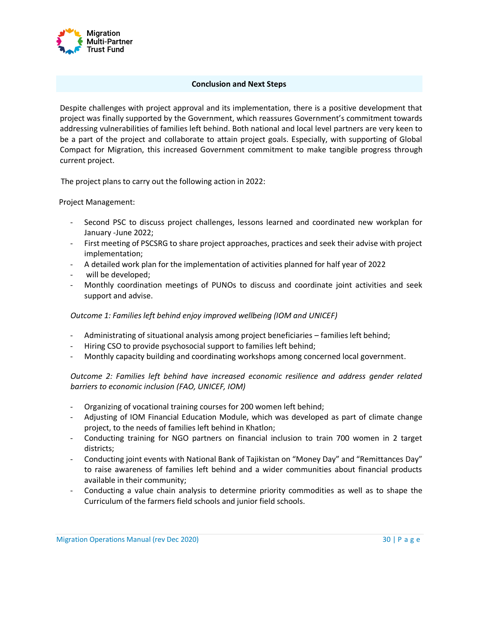

## **Conclusion and Next Steps**

Despite challenges with project approval and its implementation, there is a positive development that project was finally supported by the Government, which reassures Government's commitment towards addressing vulnerabilities of families left behind. Both national and local level partners are very keen to be a part of the project and collaborate to attain project goals. Especially, with supporting of Global Compact for Migration, this increased Government commitment to make tangible progress through current project.

The project plans to carry out the following action in 2022:

Project Management:

- Second PSC to discuss project challenges, lessons learned and coordinated new workplan for January -June 2022;
- First meeting of PSCSRG to share project approaches, practices and seek their advise with project implementation;
- A detailed work plan for the implementation of activities planned for half year of 2022
- will be developed;
- Monthly coordination meetings of PUNOs to discuss and coordinate joint activities and seek support and advise.

## *Outcome 1: Families left behind enjoy improved wellbeing (IOM and UNICEF)*

- Administrating of situational analysis among project beneficiaries families left behind;
- Hiring CSO to provide psychosocial support to families left behind;
- Monthly capacity building and coordinating workshops among concerned local government.

*Outcome 2: Families left behind have increased economic resilience and address gender related barriers to economic inclusion (FAO, UNICEF, IOM)* 

- Organizing of vocational training courses for 200 women left behind;
- Adjusting of IOM Financial Education Module, which was developed as part of climate change project, to the needs of families left behind in Khatlon;
- Conducting training for NGO partners on financial inclusion to train 700 women in 2 target districts;
- Conducting joint events with National Bank of Tajikistan on "Money Day" and "Remittances Day" to raise awareness of families left behind and a wider communities about financial products available in their community;
- Conducting a value chain analysis to determine priority commodities as well as to shape the Curriculum of the farmers field schools and junior field schools.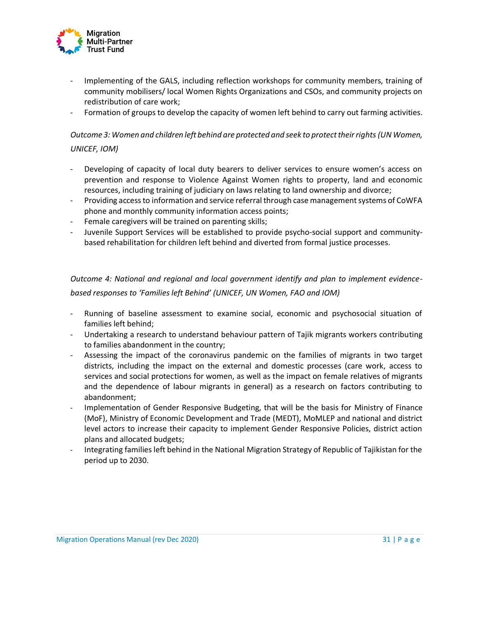

- Implementing of the GALS, including reflection workshops for community members, training of community mobilisers/ local Women Rights Organizations and CSOs, and community projects on redistribution of care work;
- Formation of groups to develop the capacity of women left behind to carry out farming activities.

## *Outcome 3: Women and children left behind are protected and seek to protect their rights (UN Women, UNICEF, IOM)*

- Developing of capacity of local duty bearers to deliver services to ensure women's access on prevention and response to Violence Against Women rights to property, land and economic resources, including training of judiciary on laws relating to land ownership and divorce;
- Providing access to information and service referral through case management systems of CoWFA phone and monthly community information access points;
- Female caregivers will be trained on parenting skills;
- Juvenile Support Services will be established to provide psycho-social support and communitybased rehabilitation for children left behind and diverted from formal justice processes.

*Outcome 4: National and regional and local government identify and plan to implement evidencebased responses to 'Families left Behind' (UNICEF, UN Women, FAO and IOM)* 

- Running of baseline assessment to examine social, economic and psychosocial situation of families left behind;
- Undertaking a research to understand behaviour pattern of Tajik migrants workers contributing to families abandonment in the country;
- Assessing the impact of the coronavirus pandemic on the families of migrants in two target districts, including the impact on the external and domestic processes (care work, access to services and social protections for women, as well as the impact on female relatives of migrants and the dependence of labour migrants in general) as a research on factors contributing to abandonment;
- Implementation of Gender Responsive Budgeting, that will be the basis for Ministry of Finance (MoF), Ministry of Economic Development and Trade (MEDT), MoMLEP and national and district level actors to increase their capacity to implement Gender Responsive Policies, district action plans and allocated budgets;
- Integrating families left behind in the National Migration Strategy of Republic of Tajikistan for the period up to 2030.